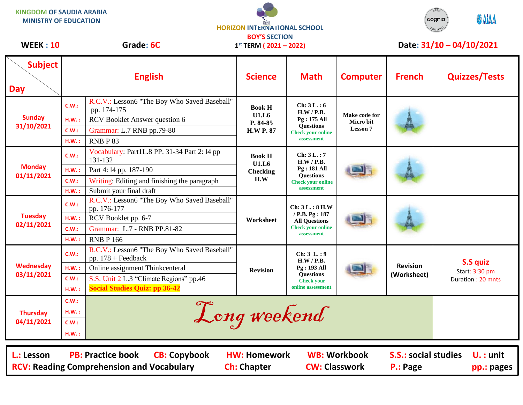**KINGDOM OF SAUDIA ARABIA MINISTRY OF EDUCATION**





WEEK : 10 Grade: 6C 1<sup>st</sup> TERM (2021 – 2022) Date: 31/10 – 04/10/2021

| <b>Subject</b><br><b>Day</b>                                                                                                                                                                                                                                                          | <b>English</b>                   |                                                                                                                                                                                            | <b>Science</b>                                                | <b>Math</b>                                                                                           | <b>Computer</b>                                      | <b>French</b>                  | <b>Quizzes/Tests</b>                                   |  |
|---------------------------------------------------------------------------------------------------------------------------------------------------------------------------------------------------------------------------------------------------------------------------------------|----------------------------------|--------------------------------------------------------------------------------------------------------------------------------------------------------------------------------------------|---------------------------------------------------------------|-------------------------------------------------------------------------------------------------------|------------------------------------------------------|--------------------------------|--------------------------------------------------------|--|
| <b>Sunday</b><br>31/10/2021                                                                                                                                                                                                                                                           | C.W.:<br>H.W.:<br>C.W.:<br>H.W.: | R.C.V.: Lesson6 "The Boy Who Saved Baseball"<br>pp. 174-175<br>RCV Booklet Answer question 6<br>Grammar: L.7 RNB pp.79-80<br>RNBP83                                                        | <b>Book H</b><br><b>U1.L6</b><br>P. 84-85<br><b>H.W P. 87</b> | Ch: 3L.: 6<br>H.W / P.B.<br>Pg: 175 All<br><b>Ouestions</b><br><b>Check your online</b><br>assessment | Make code for<br><b>Micro bit</b><br><b>Lesson 7</b> |                                |                                                        |  |
| <b>Monday</b><br>01/11/2021                                                                                                                                                                                                                                                           | C.W.:<br>H.W.:<br>C.W.:<br>H.W.: | Vocabulary: Part1L.8 PP. 31-34 Part 2: 14 pp<br>131-132<br>Part 4:14 pp. 187-190<br>Writing: Editing and finishing the paragraph<br>Submit your final draft                                | <b>Book H</b><br>U1.L6<br><b>Checking</b><br>H.W              | Ch: $3L:7$<br>H.W/P.B.<br>Pg: 181 All<br><b>Questions</b><br><b>Check your online</b><br>assessment   |                                                      |                                |                                                        |  |
| <b>Tuesday</b><br>02/11/2021                                                                                                                                                                                                                                                          | C.W.:<br>HM.:<br>C.W.:<br>HM.:   | R.C.V.: Lesson6 "The Boy Who Saved Baseball"<br>pp. 176-177<br>RCV Booklet pp. 6-7<br>Grammar: L.7 - RNB PP.81-82<br><b>RNB P 166</b>                                                      | Worksheet                                                     | Ch: 3L.: 8 H.W<br>/ P.B. Pg: 187<br><b>All Questions</b><br><b>Check your online</b><br>assessment    |                                                      |                                |                                                        |  |
| Wednesday<br>03/11/2021                                                                                                                                                                                                                                                               | C.W.:<br>H.W.:<br>C.W.:<br>H.W.: | R.C.V.: Lesson6 "The Boy Who Saved Baseball"<br>pp. $178 +$ Feedback<br>Online assignment Thinkcenteral<br>S.S. Unit 2 L.3 "Climate Regions" pp.46<br><b>Social Studies Quiz: pp 36-42</b> | <b>Revision</b>                                               | Ch: 3 L: 9<br>H.W / P.B.<br>Pg: 193 All<br><b>Ouestions</b><br><b>Check your</b><br>online assessment |                                                      | <b>Revision</b><br>(Worksheet) | <b>S.S quiz</b><br>Start: 3:30 pm<br>Duration: 20 mnts |  |
| <b>Thursday</b><br>04/11/2021                                                                                                                                                                                                                                                         | C.W.:<br>H.W.:<br>C.W.:<br>H.W.: |                                                                                                                                                                                            | Long weekend                                                  |                                                                                                       |                                                      |                                |                                                        |  |
| <b>CB: Copybook</b><br><b>WB: Workbook</b><br><b>S.S.: social studies</b><br>L.: Lesson<br><b>PB: Practice book</b><br><b>HW: Homework</b><br>$U. :$ unit<br><b>RCV: Reading Comprehension and Vocabulary</b><br><b>CW: Classwork</b><br><b>Ch: Chapter</b><br>P.: Page<br>pp.: pages |                                  |                                                                                                                                                                                            |                                                               |                                                                                                       |                                                      |                                |                                                        |  |